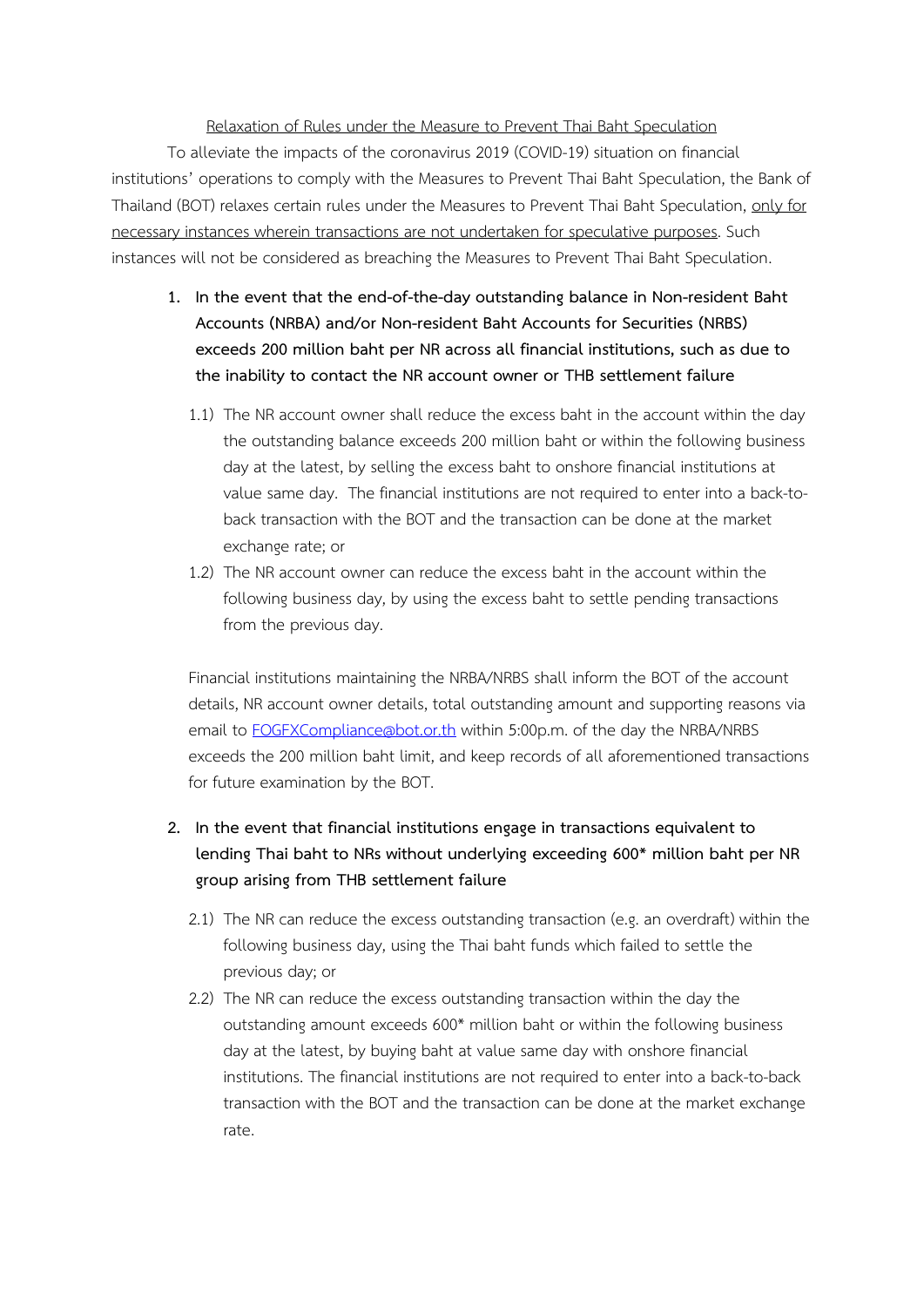## Relaxation of Rules under the Measure to Prevent Thai Baht Speculation

To alleviate the impacts of the coronavirus 2019 (COVID-19) situation on financial institutions' operations to comply with the Measures to Prevent Thai Baht Speculation, the Bank of Thailand (BOT) relaxes certain rules under the Measures to Prevent Thai Baht Speculation, only for necessary instances wherein transactions are not undertaken for speculative purposes. Such instances will not be considered as breaching the Measures to Prevent Thai Baht Speculation.

- **1. In the event that the end-of-the-day outstanding balance in Non-resident Baht Accounts (NRBA) and/or Non-resident Baht Accounts for Securities (NRBS) exceeds 200 million baht per NR across all financial institutions, such as due to the inability to contact the NR account owner or THB settlement failure** 
	- 1.1) The NR account owner shall reduce the excess baht in the account within the day the outstanding balance exceeds 200 million baht or within the following business day at the latest, by selling the excess baht to onshore financial institutions at value same day. The financial institutions are not required to enter into a back-toback transaction with the BOT and the transaction can be done at the market exchange rate; or
	- 1.2) The NR account owner can reduce the excess baht in the account within the following business day, by using the excess baht to settle pending transactions from the previous day.

Financial institutions maintaining the NRBA/NRBS shall inform the BOT of the account details, NR account owner details, total outstanding amount and supporting reasons via email to [FOGFXCompliance@bot](mailto:FOGFXCompliance@bot.or.th).or.th within 5:00p.m. of the day the NRBA/NRBS exceeds the 200 million baht limit, and keep records of all aforementioned transactions for future examination by the BOT.

- **2. In the event that financial institutions engage in transactions equivalent to lending Thai baht to NRs without underlying exceeding 600\* million baht per NR group arising from THB settlement failure** 
	- 2.1) The NR can reduce the excess outstanding transaction (e.g. an overdraft) within the following business day, using the Thai baht funds which failed to settle the previous day; or
	- 2.2) The NR can reduce the excess outstanding transaction within the day the outstanding amount exceeds 600\* million baht or within the following business day at the latest, by buying baht at value same day with onshore financial institutions. The financial institutions are not required to enter into a back-to-back transaction with the BOT and the transaction can be done at the market exchange rate.